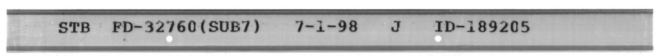